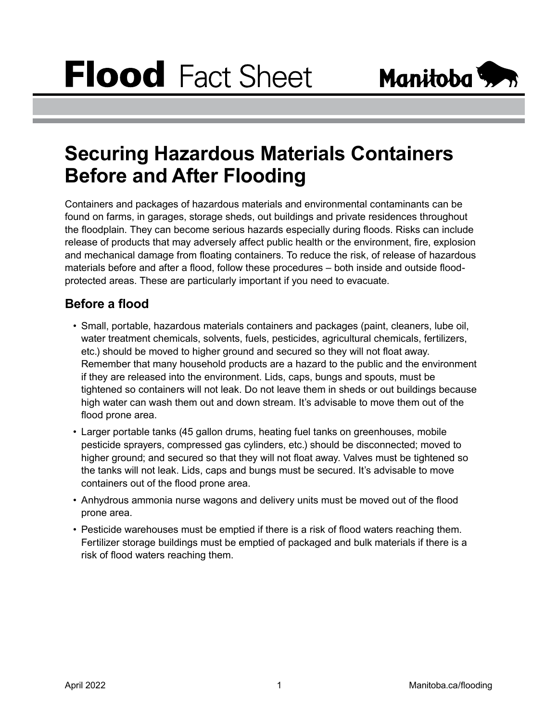

## **Securing Hazardous Materials Containers Before and After Flooding**

Containers and packages of hazardous materials and environmental contaminants can be found on farms, in garages, storage sheds, out buildings and private residences throughout the floodplain. They can become serious hazards especially during floods. Risks can include release of products that may adversely affect public health or the environment, fire, explosion and mechanical damage from floating containers. To reduce the risk, of release of hazardous materials before and after a flood, follow these procedures – both inside and outside floodprotected areas. These are particularly important if you need to evacuate.

## **Before a flood**

- Small, portable, hazardous materials containers and packages (paint, cleaners, lube oil, water treatment chemicals, solvents, fuels, pesticides, agricultural chemicals, fertilizers, etc.) should be moved to higher ground and secured so they will not float away. Remember that many household products are a hazard to the public and the environment if they are released into the environment. Lids, caps, bungs and spouts, must be tightened so containers will not leak. Do not leave them in sheds or out buildings because high water can wash them out and down stream. It's advisable to move them out of the flood prone area.
- Larger portable tanks (45 gallon drums, heating fuel tanks on greenhouses, mobile pesticide sprayers, compressed gas cylinders, etc.) should be disconnected; moved to higher ground; and secured so that they will not float away. Valves must be tightened so the tanks will not leak. Lids, caps and bungs must be secured. It's advisable to move containers out of the flood prone area.
- Anhydrous ammonia nurse wagons and delivery units must be moved out of the flood prone area.
- Pesticide warehouses must be emptied if there is a risk of flood waters reaching them. Fertilizer storage buildings must be emptied of packaged and bulk materials if there is a risk of flood waters reaching them.